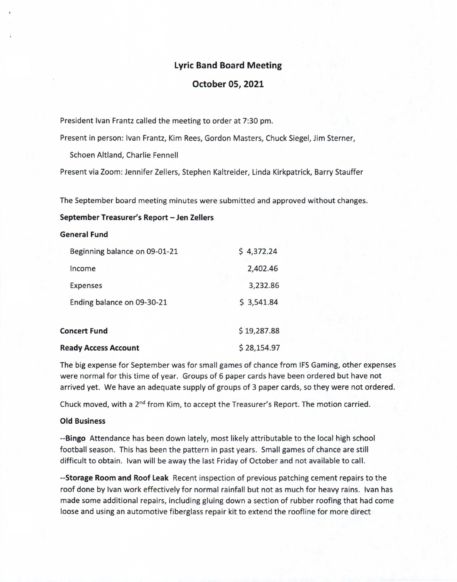# Lyric Band Board Meeting

## October 05, 2021

President Ivan Frantz called the meeting to order at 7:30 pm.

Present in person: Ivan Frantz, Kim Rees, Gordon Masters, Chuck Siegel, Jim Sterner,

Schoen Altland, Charlie Fennell

Present via Zoom: Jennifer Zellers, Stephen Kaltreider, Linda Kirkpatrick, Barry Stauffer

The September board meeting minutes were submitted and approved without changes.

## September Treasurer's Report — Jen Zellers

### General Fund

|                             | Beginning balance on 09-01-21 | \$4,372.24  |
|-----------------------------|-------------------------------|-------------|
|                             | Income                        | 2,402.46    |
|                             | <b>Expenses</b>               | 3,232.86    |
|                             | Ending balance on 09-30-21    | \$3,541.84  |
| <b>Concert Fund</b>         |                               | \$19,287.88 |
| <b>Ready Access Account</b> |                               | \$28,154.97 |

The big expense for September was for small games of chance from IFS Gaming, other expenses were normal for this time of year. Groups of 6 paper cards have been ordered but have not arrived yet. We have an adequate supply of groups of 3 paper cards, so they were not ordered.

Chuck moved, with a  $2^{nd}$  from Kim, to accept the Treasurer's Report. The motion carried.

#### Old Business

--Bingo Attendance has been down lately, most likely attributable to the local high school football season. This has been the pattern in past years. Small games of chance are still difficult to obtain. Ivan will be away the last Friday of October and not available to call.

--Storage Room and Roof Leak Recent inspection of previous patching cement repairs to the roof done by Ivan work effectively for normal rainfall but not as much for heavy rains. Ivan has made some additional repairs, including gluing down a section of rubber roofing that had come loose and using an automotive fiberglass repair kit to extend the roofline for more direct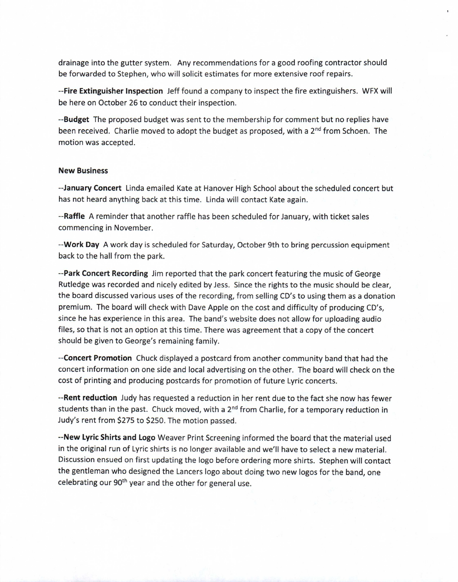drainage into the gutter system. Any recommendations for a good roofing contractor should be forwarded to Stephen, who will solicit estimates for more extensive roof repairs.

--Fire Extinguisher Inspection Jeff found a company to inspect the fire extinguishers. WFX will be here on October 26 to conduct their inspection.

--Budget The proposed budget was sent to the membership for comment but no replies have been received. Charlie moved to adopt the budget as proposed, with a 2<sup>nd</sup> from Schoen. The motion was accepted.

### New Business

--January Concert Linda emailed Kate at Hanover High School about the scheduled concert but has not heard anything back at this time. Linda will contact Kate again.

--Raffle A reminder that another raffle has been scheduled for January, with ticket sales commencing in November.

--Work Day A work day is scheduled for Saturday, October 9th to bring percussion equipment back to the hall from the park.

--Park Concert Recording Jim reported that the park concert featuring the music of George Rutledge was recorded and nicely edited by Jess. Since the rights to the music should be clear, the board discussed various uses of the recording, from selling CD's to using them as a donation premium. The board will check with Dave Apple on the cost and difficulty of producing CD's, since he has experience in this area. The band's website does not allow for uploading audio files, so that is not an option at this time. There was agreement that a copy of the concert should be given to George's remaining family.

--Concert Promotion Chuck displayed a postcard from another community band that had the concert information on one side and local advertising on the other. The board will check on the cost of printing and producing postcards for promotion of future Lyric concerts.

-- Rent reduction Judy has requested a reduction in her rent due to the fact she now has fewer students than in the past. Chuck moved, with a  $2<sup>nd</sup>$  from Charlie, for a temporary reduction in Judy's rent from \$275 to \$250. The motion passed.

--New Lyric Shirts and Logo Weaver Print Screening informed the board that the material used in the original run of Lyric shirts is no longer available and we'll have to select a new material. Discussion ensued on first updating the logo before ordering more shirts. Stephen will contact the gentleman who designed the Lancers logo about doing two new logos for the band, one celebrating our 90<sup>th</sup> year and the other for general use.